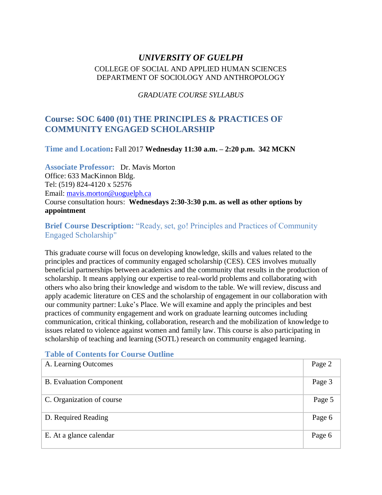# *UNIVERSITY OF GUELPH* COLLEGE OF SOCIAL AND APPLIED HUMAN SCIENCES DEPARTMENT OF SOCIOLOGY AND ANTHROPOLOGY

## *GRADUATE COURSE SYLLABUS*

# **Course: SOC 6400 (01) THE PRINCIPLES & PRACTICES OF COMMUNITY ENGAGED SCHOLARSHIP**

**Time and Location:** Fall 2017 **Wednesday 11:30 a.m. – 2:20 p.m. 342 MCKN**

**Associate Professor:** Dr. Mavis Morton Office: 633 MacKinnon Bldg. Tel: (519) 824-4120 x 52576 Email: mavis.morton@uoguelph.ca Course consultation hours: **Wednesdays 2:30-3:30 p.m. as well as other options by appointment** 

**Brief Course Description:** "Ready, set, go! Principles and Practices of Community Engaged Scholarship"

This graduate course will focus on developing knowledge, skills and values related to the principles and practices of community engaged scholarship (CES). CES involves mutually beneficial partnerships between academics and the community that results in the production of scholarship. It means applying our expertise to real-world problems and collaborating with others who also bring their knowledge and wisdom to the table. We will review, discuss and apply academic literature on CES and the scholarship of engagement in our collaboration with our community partner: Luke's Place. We will examine and apply the principles and best practices of community engagement and work on graduate learning outcomes including communication, critical thinking, collaboration, research and the mobilization of knowledge to issues related to violence against women and family law. This course is also participating in scholarship of teaching and learning (SOTL) research on community engaged learning.

## **Table of Contents for Course Outline**

| A. Learning Outcomes           | Page 2 |
|--------------------------------|--------|
| <b>B.</b> Evaluation Component | Page 3 |
| C. Organization of course      | Page 5 |
| D. Required Reading            | Page 6 |
| E. At a glance calendar        | Page 6 |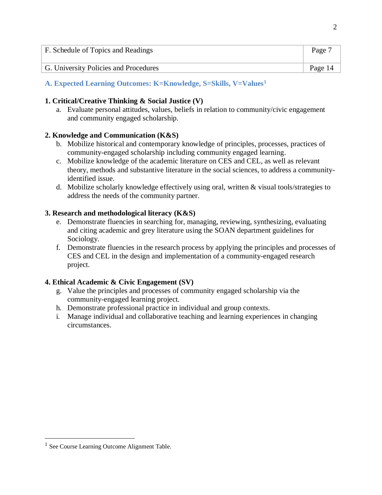| F. Schedule of Topics and Readings    | Page 7  |
|---------------------------------------|---------|
| G. University Policies and Procedures | Page 14 |

# **A. Expected Learning Outcomes: K=Knowledge, S=Skills, V=Values<sup>1</sup>**

## **1. Critical/Creative Thinking & Social Justice (V)**

a. Evaluate personal attitudes, values, beliefs in relation to community/civic engagement and community engaged scholarship.

## **2. Knowledge and Communication (K&S)**

- b. Mobilize historical and contemporary knowledge of principles, processes, practices of community-engaged scholarship including community engaged learning.
- c. Mobilize knowledge of the academic literature on CES and CEL, as well as relevant theory, methods and substantive literature in the social sciences, to address a communityidentified issue.
- d. Mobilize scholarly knowledge effectively using oral, written & visual tools/strategies to address the needs of the community partner.

## **3. Research and methodological literacy (K&S)**

- e. Demonstrate fluencies in searching for, managing, reviewing, synthesizing, evaluating and citing academic and grey literature using the SOAN department guidelines for Sociology.
- f. Demonstrate fluencies in the research process by applying the principles and processes of CES and CEL in the design and implementation of a community-engaged research project.

## **4. Ethical Academic & Civic Engagement (SV)**

- g. Value the principles and processes of community engaged scholarship via the community-engaged learning project.
- h. Demonstrate professional practice in individual and group contexts.
- i. Manage individual and collaborative teaching and learning experiences in changing circumstances.

 $\overline{a}$ 

<sup>&</sup>lt;sup>1</sup> See Course Learning Outcome Alignment Table.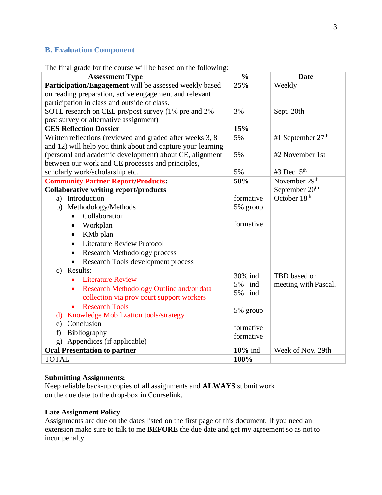# **B. Evaluation Component**

The final grade for the course will be based on the following:

| The final grade for the course will be based on the following. |                        |                            |
|----------------------------------------------------------------|------------------------|----------------------------|
| <b>Assessment Type</b>                                         | $\frac{0}{0}$          | <b>Date</b>                |
| Participation/Engagement will be assessed weekly based         | 25%                    | Weekly                     |
| on reading preparation, active engagement and relevant         |                        |                            |
| participation in class and outside of class.                   |                        |                            |
| SOTL research on CEL pre/post survey (1% pre and 2%            | 3%                     | Sept. 20th                 |
| post survey or alternative assignment)                         |                        |                            |
| <b>CES Reflection Dossier</b>                                  | 15%                    |                            |
| Written reflections (reviewed and graded after weeks 3, 8      | 5%                     | #1 September $27th$        |
| and 12) will help you think about and capture your learning    |                        |                            |
| (personal and academic development) about CE, alignment        | 5%                     | #2 November 1st            |
| between our work and CE processes and principles,              |                        |                            |
| scholarly work/scholarship etc.                                | 5%                     | #3 Dec $5th$               |
| <b>Community Partner Report/Products:</b>                      | 50%                    | November 29 <sup>th</sup>  |
| <b>Collaborative writing report/products</b>                   |                        | September 20 <sup>th</sup> |
| a) Introduction                                                | formative              | October 18th               |
| Methodology/Methods<br>b)                                      | 5% group               |                            |
| Collaboration<br>$\bullet$                                     |                        |                            |
| Workplan<br>$\bullet$                                          | formative              |                            |
| KM <sub>b</sub> plan<br>$\bullet$                              |                        |                            |
| <b>Literature Review Protocol</b><br>$\bullet$                 |                        |                            |
| <b>Research Methodology process</b>                            |                        |                            |
| Research Tools development process                             |                        |                            |
| Results:<br>$\mathbf{c})$                                      |                        |                            |
| <b>Literature Review</b><br>$\bullet$                          | 30% ind                | TBD based on               |
| Research Methodology Outline and/or data<br>$\bullet$          | 5%<br>ind<br>5%<br>ind | meeting with Pascal.       |
| collection via prov court support workers                      |                        |                            |
| <b>Research Tools</b><br>$\bullet$                             | 5% group               |                            |
| d) Knowledge Mobilization tools/strategy                       |                        |                            |
| Conclusion<br>e)                                               | formative              |                            |
| Bibliography<br>f)                                             | formative              |                            |
| Appendices (if applicable)<br>g)                               |                        |                            |
| <b>Oral Presentation to partner</b>                            | 10% ind                | Week of Nov. 29th          |
| <b>TOTAL</b>                                                   | 100%                   |                            |

## **Submitting Assignments:**

Keep reliable back-up copies of all assignments and **ALWAYS** submit work on the due date to the drop-box in Courselink.

## **Late Assignment Policy**

Assignments are due on the dates listed on the first page of this document. If you need an extension make sure to talk to me **BEFORE** the due date and get my agreement so as not to incur penalty.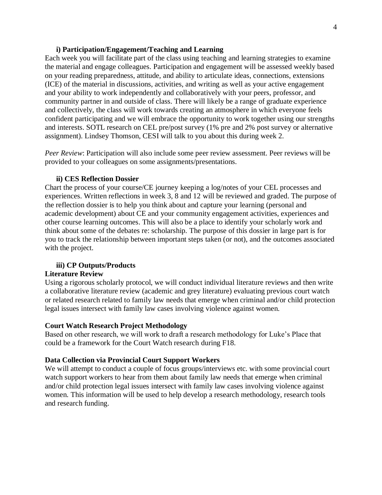### **i) Participation/Engagement/Teaching and Learning**

Each week you will facilitate part of the class using teaching and learning strategies to examine the material and engage colleagues. Participation and engagement will be assessed weekly based on your reading preparedness, attitude, and ability to articulate ideas, connections, extensions (ICE) of the material in discussions, activities, and writing as well as your active engagement and your ability to work independently and collaboratively with your peers, professor, and community partner in and outside of class. There will likely be a range of graduate experience and collectively, the class will work towards creating an atmosphere in which everyone feels confident participating and we will embrace the opportunity to work together using our strengths and interests. SOTL research on CEL pre/post survey (1% pre and 2% post survey or alternative assignment). Lindsey Thomson, CESI will talk to you about this during week 2.

*Peer Review*: Participation will also include some peer review assessment. Peer reviews will be provided to your colleagues on some assignments/presentations.

### **ii) CES Reflection Dossier**

Chart the process of your course/CE journey keeping a log/notes of your CEL processes and experiences. Written reflections in week 3, 8 and 12 will be reviewed and graded. The purpose of the reflection dossier is to help you think about and capture your learning (personal and academic development) about CE and your community engagement activities, experiences and other course learning outcomes. This will also be a place to identify your scholarly work and think about some of the debates re: scholarship. The purpose of this dossier in large part is for you to track the relationship between important steps taken (or not), and the outcomes associated with the project.

### **iii) CP Outputs/Products**

#### **Literature Review**

Using a rigorous scholarly protocol, we will conduct individual literature reviews and then write a collaborative literature review (academic and grey literature) evaluating previous court watch or related research related to family law needs that emerge when criminal and/or child protection legal issues intersect with family law cases involving violence against women.

#### **Court Watch Research Project Methodology**

Based on other research, we will work to draft a research methodology for Luke's Place that could be a framework for the Court Watch research during F18.

### **Data Collection via Provincial Court Support Workers**

We will attempt to conduct a couple of focus groups/interviews etc. with some provincial court watch support workers to hear from them about family law needs that emerge when criminal and/or child protection legal issues intersect with family law cases involving violence against women. This information will be used to help develop a research methodology, research tools and research funding.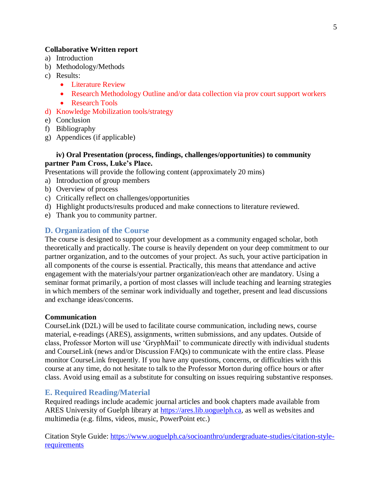### **Collaborative Written report**

- a) Introduction
- b) Methodology/Methods
- c) Results:
	- Literature Review
	- Research Methodology Outline and/or data collection via prov court support workers
	- Research Tools
- d) Knowledge Mobilization tools/strategy
- e) Conclusion
- f) Bibliography
- g) Appendices (if applicable)

## **iv) Oral Presentation (process, findings, challenges/opportunities) to community partner Pam Cross, Luke's Place.**

Presentations will provide the following content (approximately 20 mins)

- a) Introduction of group members
- b) Overview of process
- c) Critically reflect on challenges/opportunities
- d) Highlight products/results produced and make connections to literature reviewed.
- e) Thank you to community partner.

## **D. Organization of the Course**

The course is designed to support your development as a community engaged scholar, both theoretically and practically. The course is heavily dependent on your deep commitment to our partner organization, and to the outcomes of your project. As such, your active participation in all components of the course is essential. Practically, this means that attendance and active engagement with the materials/your partner organization/each other are mandatory. Using a seminar format primarily, a portion of most classes will include teaching and learning strategies in which members of the seminar work individually and together, present and lead discussions and exchange ideas/concerns.

### **Communication**

CourseLink (D2L) will be used to facilitate course communication, including news, course material, e-readings (ARES), assignments, written submissions, and any updates. Outside of class, Professor Morton will use 'GryphMail' to communicate directly with individual students and CourseLink (news and/or Discussion FAQs) to communicate with the entire class. Please monitor CourseLink frequently. If you have any questions, concerns, or difficulties with this course at any time, do not hesitate to talk to the Professor Morton during office hours or after class. Avoid using email as a substitute for consulting on issues requiring substantive responses.

## **E. Required Reading/Material**

Required readings include academic journal articles and book chapters made available from ARES University of Guelph library at https://ares.lib.uoguelph.ca, as well as websites and multimedia (e.g. films, videos, music, PowerPoint etc.)

Citation Style Guide: [https://www.uoguelph.ca/socioanthro/undergraduate-studies/citation-style](https://www.uoguelph.ca/socioanthro/undergraduate-studies/citation-style-requirements)[requirements](https://www.uoguelph.ca/socioanthro/undergraduate-studies/citation-style-requirements)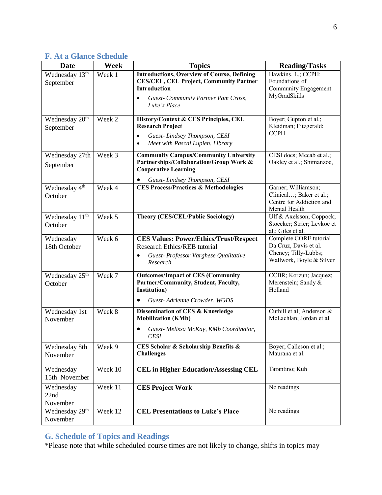| <b>Date</b>                               | Week    | <b>Topics</b>                                                                                                                                                                                          | <b>Reading/Tasks</b>                                                                                |
|-------------------------------------------|---------|--------------------------------------------------------------------------------------------------------------------------------------------------------------------------------------------------------|-----------------------------------------------------------------------------------------------------|
| Wednesday 13th<br>September               | Week 1  | <b>Introductions, Overview of Course, Defining</b><br><b>CES/CEL, CEL Project, Community Partner</b><br><b>Introduction</b><br><b>Guest- Community Partner Pam Cross,</b><br>$\bullet$<br>Luke's Place | Hawkins. L.; CCPH:<br>Foundations of<br>Community Engagement-<br>MyGradSkills                       |
| Wednesday 20 <sup>th</sup><br>September   | Week 2  | History/Context & CES Principles, CEL<br><b>Research Project</b><br>Guest-Lindsey Thompson, CESI<br>$\bullet$<br>Meet with Pascal Lupien, Library<br>$\bullet$                                         | Boyer; Gupton et al.;<br>Kleidman; Fitzgerald;<br><b>CCPH</b>                                       |
| Wednesday 27th<br>September               | Week 3  | <b>Community Campus/Community University</b><br>Partnerships/Collaboration/Group Work &<br><b>Cooperative Learning</b><br>Guest-Lindsey Thompson, CESI                                                 | CESI docs; Mccab et al.;<br>Oakley et al.; Shimanzoe,                                               |
| Wednesday 4 <sup>th</sup><br>October      | Week 4  | <b>CES Process/Practices &amp; Methodologies</b>                                                                                                                                                       | Garner; Williamson;<br>Clinical; Baker et al.;<br>Centre for Addiction and<br>Mental Health         |
| Wednesday $1\overline{1^{th}}$<br>October | Week 5  | <b>Theory (CES/CEL/Public Sociology)</b>                                                                                                                                                               | Ulf & Axelsson; Coppock;<br>Stoecker; Strier; Levkoe et<br>al.; Giles et al.                        |
| Wednesday<br>18th October                 | Week 6  | <b>CES Values: Power/Ethics/Trust/Respect</b><br><b>Research Ethics/REB tutorial</b><br>Guest- Professor Varghese Qualitative<br>$\bullet$<br>Research                                                 | Complete CORE tutorial<br>Da Cruz, Davis et al.<br>Cheney; Tilly-Lubbs;<br>Wallwork, Boyle & Silver |
| Wednesday 25 <sup>th</sup><br>October     | Week 7  | <b>Outcomes/Impact of CES (Community</b><br>Partner/Community, Student, Faculty,<br><b>Institution</b> )<br>Guest-Adrienne Crowder, WGDS                                                               | CCBR; Korzun; Jacquez;<br>Merenstein; Sandy &<br>Holland                                            |
| Wednesday 1st<br>November                 | Week 8  | Dissemination of CES & Knowledge<br><b>Mobilization (KMb)</b><br>Guest- Melissa McKay, KMb Coordinator,<br><b>CESI</b>                                                                                 | Cuthill et al; Anderson &<br>McLachlan; Jordan et al.                                               |
| Wednesday 8th<br>November                 | Week 9  | CES Scholar & Scholarship Benefits &<br><b>Challenges</b>                                                                                                                                              | Boyer; Calleson et al.;<br>Maurana et al.                                                           |
| Wednesday<br>15th November                | Week 10 | <b>CEL in Higher Education/Assessing CEL</b>                                                                                                                                                           | Tarantino; Kuh                                                                                      |
| Wednesday<br>22nd<br>November             | Week 11 | <b>CES Project Work</b>                                                                                                                                                                                | No readings                                                                                         |
| Wednesday 29 <sup>th</sup><br>November    | Week 12 | <b>CEL Presentations to Luke's Place</b>                                                                                                                                                               | No readings                                                                                         |

# **F. At a Glance Schedule**

# **G. Schedule of Topics and Readings**

\*Please note that while scheduled course times are not likely to change, shifts in topics may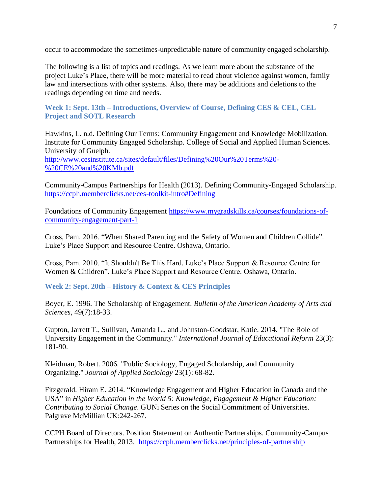occur to accommodate the sometimes-unpredictable nature of community engaged scholarship.

The following is a list of topics and readings. As we learn more about the substance of the project Luke's Place, there will be more material to read about violence against women, family law and intersections with other systems. Also, there may be additions and deletions to the readings depending on time and needs.

**Week 1: Sept. 13th – Introductions, Overview of Course, Defining CES & CEL, CEL Project and SOTL Research** 

Hawkins, L. n.d. Defining Our Terms: Community Engagement and Knowledge Mobilization. Institute for Community Engaged Scholarship. College of Social and Applied Human Sciences. University of Guelph. [http://www.cesinstitute.ca/sites/default/files/Defining%20Our%20Terms%20-](http://www.cesinstitute.ca/sites/default/files/Defining%20Our%20Terms%20-%20CE%20and%20KMb.pdf) [%20CE%20and%20KMb.pdf](http://www.cesinstitute.ca/sites/default/files/Defining%20Our%20Terms%20-%20CE%20and%20KMb.pdf)

Community-Campus Partnerships for Health (2013). Defining Community-Engaged Scholarship. <https://ccph.memberclicks.net/ces-toolkit-intro#Defining>

Foundations of Community Engagement [https://www.mygradskills.ca/courses/foundations-of](https://www.mygradskills.ca/courses/foundations-of-community-engagement-part-1)[community-engagement-part-1](https://www.mygradskills.ca/courses/foundations-of-community-engagement-part-1)

Cross, Pam. 2016. "When Shared Parenting and the Safety of Women and Children Collide". Luke's Place Support and Resource Centre. Oshawa, Ontario.

Cross, Pam. 2010. "It Shouldn't Be This Hard. Luke's Place Support & Resource Centre for Women & Children". Luke's Place Support and Resource Centre. Oshawa, Ontario.

**Week 2: Sept. 20th** *–* **History & Context & CES Principles**

Boyer, E. 1996. The Scholarship of Engagement. *Bulletin of the American Academy of Arts and Sciences*, 49(7):18-33.

Gupton, Jarrett T., Sullivan, Amanda L., and Johnston-Goodstar, Katie. 2014. "The Role of University Engagement in the Community." *International Journal of Educational Reform* 23(3): 181-90.

Kleidman, Robert. 2006. "Public Sociology, Engaged Scholarship, and Community Organizing." *Journal of Applied Sociology* 23(1): 68-82.

Fitzgerald. Hiram E. 2014. "Knowledge Engagement and Higher Education in Canada and the USA" in *Higher Education in the World 5: Knowledge, Engagement & Higher Education: Contributing to Social Change*. GUNi Series on the Social Commitment of Universities. Palgrave McMillian UK:242-267.

CCPH Board of Directors. Position Statement on Authentic Partnerships. Community-Campus Partnerships for Health, 2013. <https://ccph.memberclicks.net/principles-of-partnership>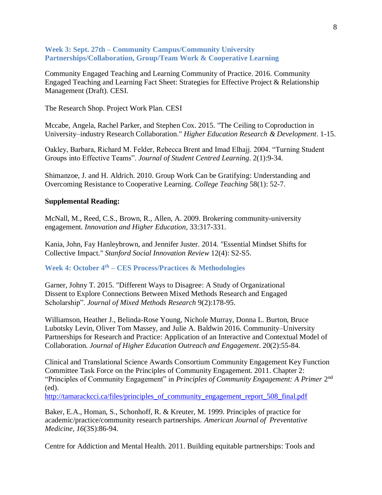### **Week 3: Sept. 27th – Community Campus/Community University Partnerships/Collaboration, Group/Team Work & Cooperative Learning**

Community Engaged Teaching and Learning Community of Practice. 2016. Community Engaged Teaching and Learning Fact Sheet: Strategies for Effective Project & Relationship Management (Draft). CESI.

The Research Shop. Project Work Plan. CESI

Mccabe, Angela, Rachel Parker, and Stephen Cox. 2015. "The Ceiling to Coproduction in University–industry Research Collaboration." *Higher Education Research & Development*. 1-15.

Oakley, Barbara, Richard M. Felder, Rebecca Brent and Imad Elhajj. 2004. "Turning Student Groups into Effective Teams". *Journal of Student Centred Learning*. 2(1):9-34.

Shimanzoe, J. and H. Aldrich. 2010. Group Work Can be Gratifying: Understanding and Overcoming Resistance to Cooperative Learning. *College Teaching* 58(1): 52-7.

### **Supplemental Reading:**

McNall, M., Reed, C.S., Brown, R., Allen, A. 2009. Brokering community-university engagement. *Innovation and Higher Education*, 33:317-331.

Kania, John, Fay Hanleybrown, and Jennifer Juster. 2014. "Essential Mindset Shifts for Collective Impact." *Stanford Social Innovation Review* 12(4): S2-S5.

**Week 4: October 4 th – CES Process/Practices & Methodologies** 

Garner, Johny T. 2015. "Different Ways to Disagree: A Study of Organizational Dissent to Explore Connections Between Mixed Methods Research and Engaged Scholarship". *Journal of Mixed Methods Research* 9(2):178-95.

Williamson, Heather J., Belinda-Rose Young, Nichole Murray, Donna L. Burton, Bruce Lubotsky Levin, Oliver Tom Massey, and Julie A. Baldwin 2016. Community–University Partnerships for Research and Practice: Application of an Interactive and Contextual Model of Collaboration. *Journal of Higher Education Outreach and Engagement*. 20(2):55-84.

Clinical and Translational Science Awards Consortium Community Engagement Key Function Committee Task Force on the Principles of Community Engagement. 2011. Chapter 2: "Principles of Community Engagement" in *Principles of Community Engagement: A Primer* 2<sup>nd</sup> (ed).

[http://tamarackcci.ca/files/principles\\_of\\_community\\_engagement\\_report\\_508\\_final.pdf](http://tamarackcci.ca/files/principles_of_community_engagement_report_508_final.pdf)

Baker, E.A., Homan, S., Schonhoff, R. & Kreuter, M. 1999. Principles of practice for academic/practice/community research partnerships. *American Journal of Preventative Medicine, 16*(3S):86-94.

Centre for Addiction and Mental Health. 2011. Building equitable partnerships: Tools and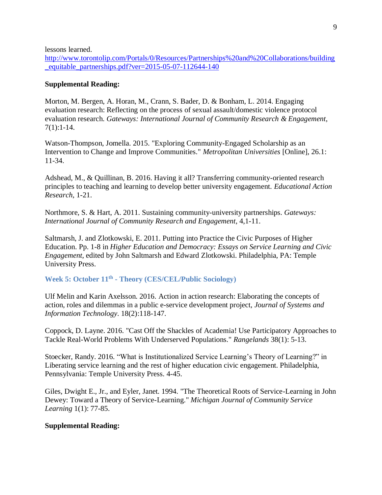lessons learned.

[http://www.torontolip.com/Portals/0/Resources/Partnerships%20and%20Collaborations/building](http://www.torontolip.com/Portals/0/Resources/Partnerships%20and%20Collaborations/building_equitable_partnerships.pdf?ver=2015-05-07-112644-140) [\\_equitable\\_partnerships.pdf?ver=2015-05-07-112644-140](http://www.torontolip.com/Portals/0/Resources/Partnerships%20and%20Collaborations/building_equitable_partnerships.pdf?ver=2015-05-07-112644-140)

### **Supplemental Reading:**

Morton, M. Bergen, A. Horan, M., Crann, S. Bader, D. & Bonham, L. 2014. Engaging evaluation research: Reflecting on the process of sexual assault/domestic violence protocol evaluation research. *Gateways: International Journal of Community Research & Engagement*, 7(1):1-14.

Watson-Thompson, Jomella. 2015. "Exploring Community-Engaged Scholarship as an Intervention to Change and Improve Communities." *Metropolitan Universities* [Online], 26.1: 11-34.

Adshead, M., & Quillinan, B. 2016. Having it all? Transferring community-oriented research principles to teaching and learning to develop better university engagement. *Educational Action Research*, 1-21.

Northmore, S. & Hart, A. 2011. Sustaining community-university partnerships. *Gateways: International Journal of Community Research and Engagement*, 4,1-11.

Saltmarsh, J. and Zlotkowski, E. 2011. Putting into Practice the Civic Purposes of Higher Education. Pp. 1-8 in *Higher Education and Democracy: Essays on Service Learning and Civic Engagement*, edited by John Saltmarsh and Edward Zlotkowski. Philadelphia, PA: Temple University Press.

**Week 5: October 11th - Theory (CES/CEL/Public Sociology)**

Ulf Melin and Karin Axelsson. 2016. Action in action research: Elaborating the concepts of action, roles and dilemmas in a public e-service development project, *Journal of Systems and Information Technology*. 18(2):118-147.

Coppock, D. Layne. 2016. "Cast Off the Shackles of Academia! Use Participatory Approaches to Tackle Real-World Problems With Underserved Populations." *Rangelands* 38(1): 5-13.

Stoecker, Randy. 2016. "What is Institutionalized Service Learning's Theory of Learning?" in Liberating service learning and the rest of higher education civic engagement. Philadelphia, Pennsylvania: Temple University Press. 4-45.

Giles, Dwight E., Jr., and Eyler, Janet. 1994. "The Theoretical Roots of Service-Learning in John Dewey: Toward a Theory of Service-Learning." *Michigan Journal of Community Service Learning* 1(1): 77-85.

### **Supplemental Reading:**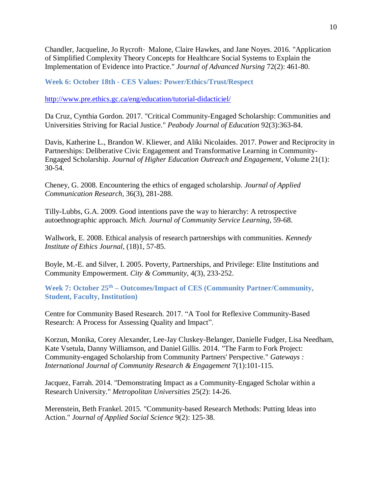Chandler, Jacqueline, Jo Rycroft‐ Malone, Claire Hawkes, and Jane Noyes. 2016. "Application of Simplified Complexity Theory Concepts for Healthcare Social Systems to Explain the Implementation of Evidence into Practice." *Journal of Advanced Nursing* 72(2): 461-80.

**Week 6: October 18th - CES Values: Power/Ethics/Trust/Respect**

<http://www.pre.ethics.gc.ca/eng/education/tutorial-didacticiel/>

Da Cruz, Cynthia Gordon. 2017. "Critical Community-Engaged Scholarship: Communities and Universities Striving for Racial Justice." *Peabody Journal of Education* 92(3):363-84.

Davis, Katherine L., Brandon W. Kliewer, and Aliki Nicolaides. 2017. Power and Reciprocity in Partnerships: Deliberative Civic Engagement and Transformative Learning in Community-Engaged Scholarship. *Journal of Higher Education Outreach and Engagement*, Volume 21(1): 30-54.

Cheney, G. 2008. Encountering the ethics of engaged scholarship. *Journal of Applied Communication Research*, 36(3), 281-288.

Tilly-Lubbs, G.A. 2009. Good intentions pave the way to hierarchy: A retrospective autoethnographic approach. *Mich. Journal of Community Service Learning*, 59-68.

Wallwork, E. 2008. Ethical analysis of research partnerships with communities. *Kennedy Institute of Ethics Journal*, (18)1, 57-85.

Boyle, M.-E. and Silver, I. 2005. Poverty, Partnerships, and Privilege: Elite Institutions and Community Empowerment. *City & Community*, 4(3), 233-252.

**Week 7: October 25th – Outcomes/Impact of CES (Community Partner/Community, Student, Faculty, Institution)**

Centre for Community Based Research. 2017. "A Tool for Reflexive Community-Based Research: A Process for Assessing Quality and Impact".

Korzun, Monika, Corey Alexander, Lee-Jay Cluskey-Belanger, Danielle Fudger, Lisa Needham, Kate Vsetula, Danny Williamson, and Daniel Gillis. 2014. "The Farm to Fork Project: Community-engaged Scholarship from Community Partners' Perspective." *Gateways : International Journal of Community Research & Engagement* 7(1):101-115.

Jacquez, Farrah. 2014. "Demonstrating Impact as a Community-Engaged Scholar within a Research University." *Metropolitan Universities* 25(2): 14-26.

Merenstein, Beth Frankel. 2015. "Community-based Research Methods: Putting Ideas into Action." *Journal of Applied Social Science* 9(2): 125-38.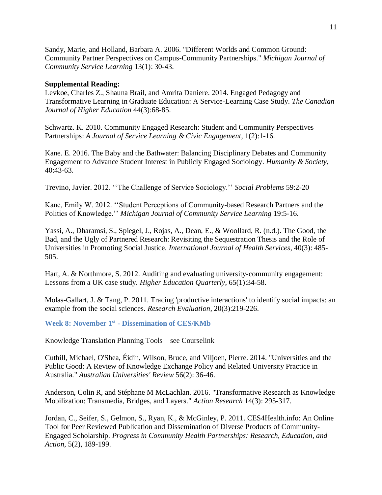Sandy, Marie, and Holland, Barbara A. 2006. "Different Worlds and Common Ground: Community Partner Perspectives on Campus-Community Partnerships." *Michigan Journal of Community Service Learning* 13(1): 30-43.

### **Supplemental Reading:**

Levkoe, Charles Z., Shauna Brail, and Amrita Daniere. 2014. Engaged Pedagogy and Transformative Learning in Graduate Education: A Service-Learning Case Study. *The Canadian Journal of Higher Education* 44(3):68-85.

Schwartz. K. 2010. Community Engaged Research: Student and Community Perspectives Partnerships: *A Journal of Service Learning & Civic Engagement*, 1(2):1-16.

Kane. E. 2016. The Baby and the Bathwater: Balancing Disciplinary Debates and Community Engagement to Advance Student Interest in Publicly Engaged Sociology. *Humanity & Society*, 40:43-63.

Trevino, Javier. 2012. ''The Challenge of Service Sociology.'' *Social Problems* 59:2-20

Kane, Emily W. 2012. ''Student Perceptions of Community-based Research Partners and the Politics of Knowledge.'' *Michigan Journal of Community Service Learning* 19:5-16.

Yassi, A., Dharamsi, S., Spiegel, J., Rojas, A., Dean, E., & Woollard, R. (n.d.). The Good, the Bad, and the Ugly of Partnered Research: Revisiting the Sequestration Thesis and the Role of Universities in Promoting Social Justice. *International Journal of Health Services*, 40(3): 485- 505.

Hart, A. & Northmore, S. 2012. Auditing and evaluating university-community engagement: Lessons from a UK case study. *Higher Education Quarterly*, 65(1):34-58.

Molas-Gallart, J. & Tang, P. 2011. Tracing 'productive interactions' to identify social impacts: an example from the social sciences. *Research Evaluation*, 20(3):219-226.

**Week 8: November 1 st - Dissemination of CES/KMb**

Knowledge Translation Planning Tools – see Courselink

Cuthill, Michael, O'Shea, Éidín, Wilson, Bruce, and Viljoen, Pierre. 2014. "Universities and the Public Good: A Review of Knowledge Exchange Policy and Related University Practice in Australia." *Australian Universities' Review* 56(2): 36-46.

Anderson, Colin R, and Stéphane M McLachlan. 2016. "Transformative Research as Knowledge Mobilization: Transmedia, Bridges, and Layers." *Action Research* 14(3): 295-317.

Jordan, C., Seifer, S., Gelmon, S., Ryan, K., & McGinley, P. 2011. CES4Health.info: An Online Tool for Peer Reviewed Publication and Dissemination of Diverse Products of Community-Engaged Scholarship. *Progress in Community Health Partnerships: Research, Education, and Action*, 5(2), 189-199.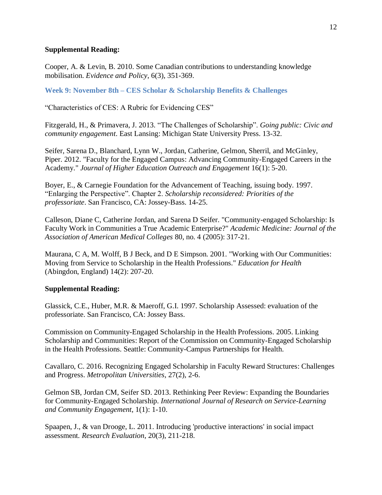### **Supplemental Reading:**

Cooper, A. & Levin, B. 2010. Some Canadian contributions to understanding knowledge mobilisation. *Evidence and Policy*, 6(3), 351-369.

**Week 9: November 8th – CES Scholar & Scholarship Benefits & Challenges**

"Characteristics of CES: A Rubric for Evidencing CES"

Fitzgerald, H., & Primavera, J. 2013. "The Challenges of Scholarship". *Going public: Civic and community engagement*. East Lansing: Michigan State University Press. 13-32.

Seifer, Sarena D., Blanchard, Lynn W., Jordan, Catherine, Gelmon, Sherril, and McGinley, Piper. 2012. "Faculty for the Engaged Campus: Advancing Community-Engaged Careers in the Academy." *Journal of Higher Education Outreach and Engagement* 16(1): 5-20.

Boyer, E., & Carnegie Foundation for the Advancement of Teaching, issuing body. 1997. "Enlarging the Perspective". Chapter 2. *Scholarship reconsidered: Priorities of the professoriate*. San Francisco, CA: Jossey-Bass. 14-25.

Calleson, Diane C, Catherine Jordan, and Sarena D Seifer. "Community-engaged Scholarship: Is Faculty Work in Communities a True Academic Enterprise?" *Academic Medicine: Journal of the Association of American Medical Colleges* 80, no. 4 (2005): 317-21.

Maurana, C A, M. Wolff, B J Beck, and D E Simpson. 2001. "Working with Our Communities: Moving from Service to Scholarship in the Health Professions." *Education for Health* (Abingdon, England) 14(2): 207-20.

## **Supplemental Reading:**

Glassick, C.E., Huber, M.R. & Maeroff, G.I. 1997. Scholarship Assessed: evaluation of the professoriate. San Francisco, CA: Jossey Bass.

Commission on Community-Engaged Scholarship in the Health Professions. 2005. Linking Scholarship and Communities: Report of the Commission on Community-Engaged Scholarship in the Health Professions. Seattle: Community-Campus Partnerships for Health.

Cavallaro, C. 2016. Recognizing Engaged Scholarship in Faculty Reward Structures: Challenges and Progress. *Metropolitan Universities*, 27(2), 2-6.

Gelmon SB, Jordan CM, Seifer SD. 2013. [Rethinking Peer Review: Expanding the Boundaries](https://ccph.memberclicks.net/assets/Documents/PapersReports/gelmon-ijrslcefall2013.pdf)  [for Community-Engaged Scholarship.](https://ccph.memberclicks.net/assets/Documents/PapersReports/gelmon-ijrslcefall2013.pdf) *International Journal of Research on Service-Learning and Community Engagement*, 1(1): 1-10.

Spaapen, J., & van Drooge, L. 2011. Introducing 'productive interactions' in social impact assessment. *Research Evaluation*, 20(3), 211-218.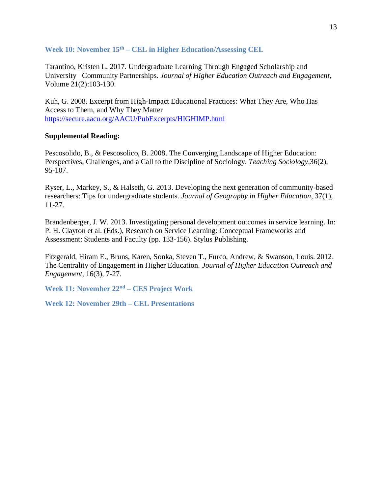**Week 10: November 15th – CEL in Higher Education/Assessing CEL** 

Tarantino, Kristen L. 2017. Undergraduate Learning Through Engaged Scholarship and University– Community Partnerships. *Journal of Higher Education Outreach and Engagement*, Volume 21(2):103-130.

Kuh, G. 2008. Excerpt from High-Impact Educational Practices: What They Are, Who Has Access to Them, and Why They Matter <https://secure.aacu.org/AACU/PubExcerpts/HIGHIMP.html>

## **Supplemental Reading:**

Pescosolido, B., & Pescosolico, B. 2008. The Converging Landscape of Higher Education: Perspectives, Challenges, and a Call to the Discipline of Sociology. *Teaching Sociology*,36(2), 95-107.

Ryser, L., Markey, S., & Halseth, G. 2013. Developing the next generation of community-based researchers: Tips for undergraduate students. *Journal of Geography in Higher Education*, 37(1), 11-27.

Brandenberger, J. W. 2013. Investigating personal development outcomes in service learning. In: P. H. Clayton et al. (Eds.), Research on Service Learning: Conceptual Frameworks and Assessment: Students and Faculty (pp. 133-156). Stylus Publishing.

Fitzgerald, Hiram E., Bruns, Karen, Sonka, Steven T., Furco, Andrew, & Swanson, Louis. 2012. The Centrality of Engagement in Higher Education. *Journal of Higher Education Outreach and Engagement,* 16(3), 7-27.

**Week 11: November 22nd – CES Project Work**

**Week 12: November 29th – CEL Presentations**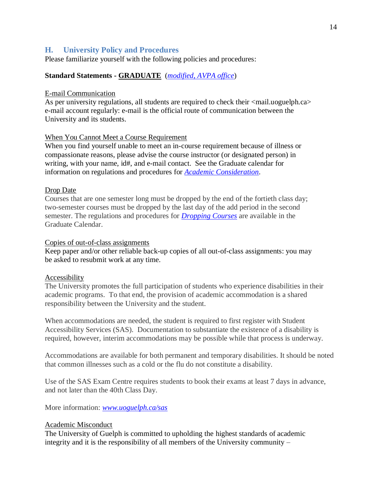## **H. University Policy and Procedures**

Please familiarize yourself with the following policies and procedures:

## **Standard Statements - GRADUATE** (*[modified, AVPA office](http://www.uoguelph.ca/vpacademic/avpa/checklist)*)

### E-mail Communication

As per university regulations, all students are required to check their  $\langle$ mail.uoguelph.ca> e-mail account regularly: e-mail is the official route of communication between the University and its students.

## When You Cannot Meet a Course Requirement

When you find yourself unable to meet an in-course requirement because of illness or compassionate reasons, please advise the course instructor (or designated person) in writing, with your name, id#, and e-mail contact. See the Graduate calendar for information on regulations and procedures for *[Academic Consideration](https://www.uoguelph.ca/registrar/calendars/graduate/current/genreg/sec_d0e2223.shtml)*.

### Drop Date

Courses that are one semester long must be dropped by the end of the fortieth class day; two-semester courses must be dropped by the last day of the add period in the second semester. The regulations and procedures for *[Dropping Courses](https://www.uoguelph.ca/registrar/calendars/graduate/current/genreg/genreg-reg-regchg.shtml)* are available in the Graduate Calendar.

### Copies of out-of-class assignments

Keep paper and/or other reliable back-up copies of all out-of-class assignments: you may be asked to resubmit work at any time.

### Accessibility

The University promotes the full participation of students who experience disabilities in their academic programs. To that end, the provision of academic accommodation is a shared responsibility between the University and the student.

When accommodations are needed, the student is required to first register with Student Accessibility Services (SAS). Documentation to substantiate the existence of a disability is required, however, interim accommodations may be possible while that process is underway.

Accommodations are available for both permanent and temporary disabilities. It should be noted that common illnesses such as a cold or the flu do not constitute a disability.

Use of the SAS Exam Centre requires students to book their exams at least 7 days in advance, and not later than the 40th Class Day.

More information: *[www.uoguelph.ca/sas](http://www.uoguelph.ca/sas)*

### Academic Misconduct

The University of Guelph is committed to upholding the highest standards of academic integrity and it is the responsibility of all members of the University community –